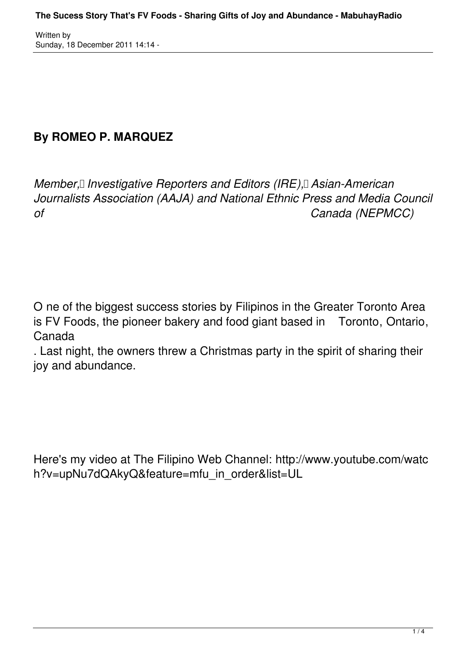Written by Sunday, 18 December 2011 14:14 -

## **By ROMEO P. MARQUEZ**

*Member, II Investigative Reporters and Editors (IRE), Asian-American Journalists Association (AAJA) and National Ethnic Press and Media Council of Canada (NEPMCC)*

O ne of the biggest success stories by Filipinos in the Greater Toronto Area is FV Foods, the pioneer bakery and food giant based in Toronto, Ontario, Canada

. Last night, the owners threw a Christmas party in the spirit of sharing their joy and abundance.

Here's my video at The Filipino Web Channel: http://www.youtube.com/watc h?v=upNu7dQAkyQ&feature=mfu\_in\_order&list=UL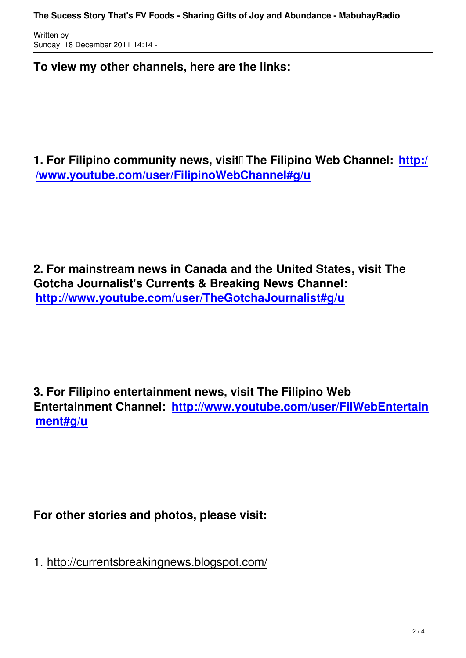Written by

**To view my other channels, here are the links:**

**1. For Filipino community news, visit** The Filipino Web Channel: http:/ **/www.youtube.com/user/FilipinoWebChannel#g/u**

**2. For mainstream news in Canada and the United States, visit The Gotcha Journalist's Currents & Breaking News Channel: http://www.youtube.com/user/TheGotchaJournalist#g/u**

**3. For Filipino entertainment news, visit The Filipino Web Entertainment Channel: http://www.youtube.com/user/FilWebEntertain ment#g/u**

**For other stories and photos, please visit:**

1. http://currentsbreakingnews.blogspot.com/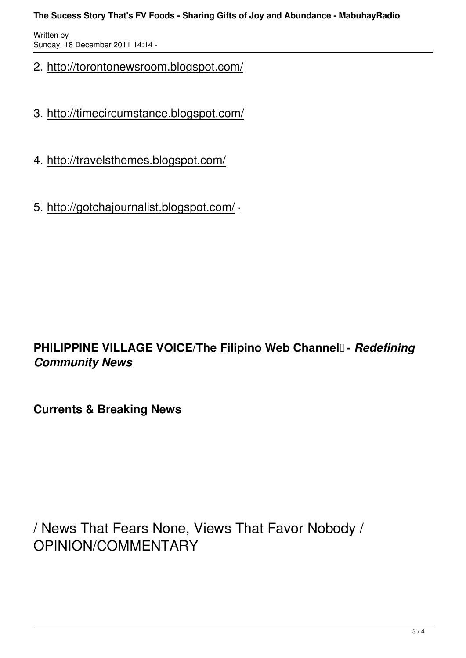## **The Sucess Story That's FV Foods - Sharing Gifts of Joy and Abundance - MabuhayRadio**

Written by Sunday, 18 December 2011 14:14 -

- 2. http://torontonewsroom.blogspot.com/
- 3. http://timecircumstance.blogspot.com/
- 4. http://travelsthemes.blogspot.com/
- 5. http://gotchajournalist.blogspot.com/ .

## **PHILIPPINE VILLAGE VOICE/The Filipino Web Channel - Redefining** *Community News*

**Currents & Breaking News** 

/ News That Fears None, Views That Favor Nobody / OPINION/COMMENTARY